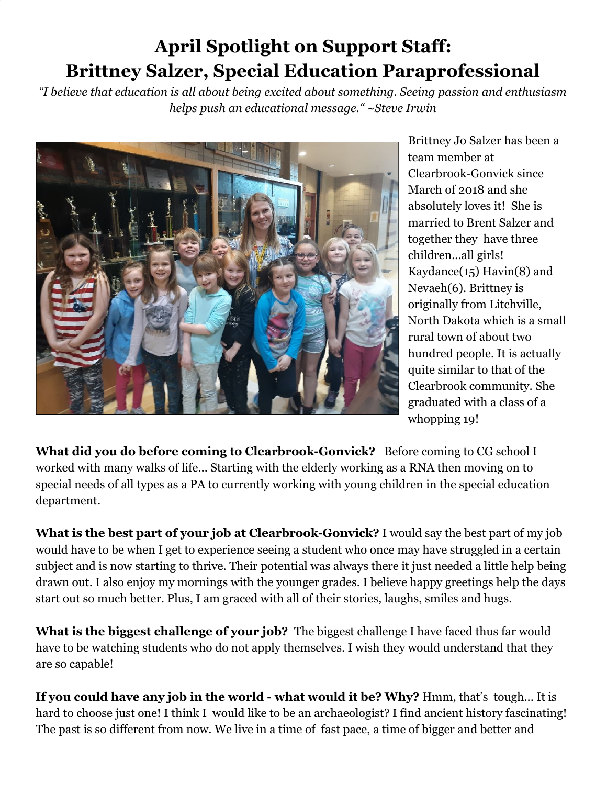## **April Spotlight on Support Staff: Brittney Salzer, Special Education Paraprofessional**

*"I believe that education is all about being excited about something. Seeing passion and enthusiasm helps push an educational message." ~Steve Irwin*



Brittney Jo Salzer has been a team member at Clearbrook-Gonvick since March of 2018 and she absolutely loves it! She is married to Brent Salzer and together they have three children...all girls! Kaydance $(15)$  Havin $(8)$  and Nevaeh(6). Brittney is originally from Litchville, North Dakota which is a small rural town of about two hundred people. It is actually quite similar to that of the Clearbrook community. She graduated with a class of a whopping 19!

**What did you do before coming to Clearbrook-Gonvick?** Before coming to CG school I worked with many walks of life... Starting with the elderly working as a RNA then moving on to special needs of all types as a PA to currently working with young children in the special education department.

**What is the best part of your job at Clearbrook-Gonvick?** I would say the best part of my job would have to be when I get to experience seeing a student who once may have struggled in a certain subject and is now starting to thrive. Their potential was always there it just needed a little help being drawn out. I also enjoy my mornings with the younger grades. I believe happy greetings help the days start out so much better. Plus, I am graced with all of their stories, laughs, smiles and hugs.

**What is the biggest challenge of your job?** The biggest challenge I have faced thus far would have to be watching students who do not apply themselves. I wish they would understand that they are so capable!

**If you could have any job in the world - what would it be? Why?** Hmm, that's tough... It is hard to choose just one! I think I would like to be an archaeologist? I find ancient history fascinating! The past is so different from now. We live in a time of fast pace, a time of bigger and better and